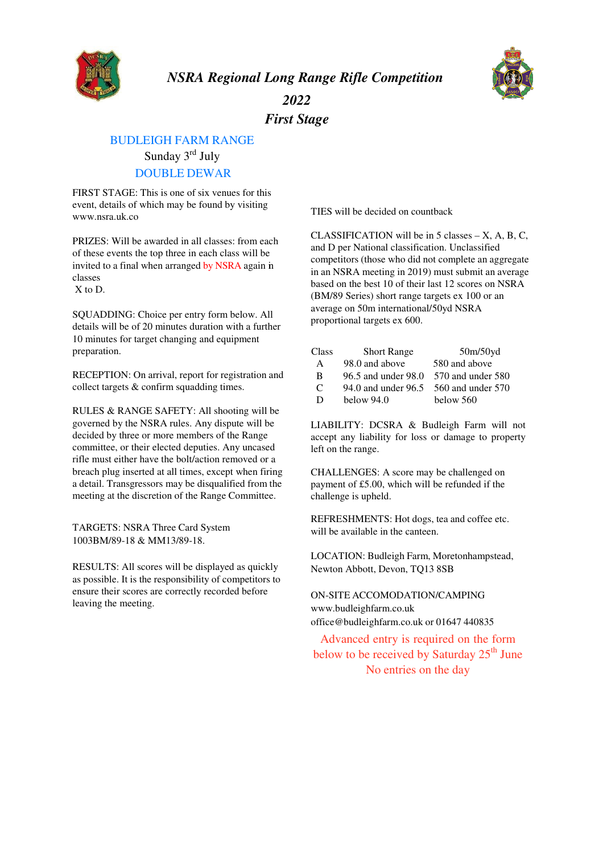

*NSRA Regional Long Range Rifle Competition* 



*2022 First Stage* 

## BUDLEIGH FARM RANGE Sunday  $3<sup>rd</sup>$  July DOUBLE DEWAR

FIRST STAGE: This is one of six venues for this event, details of which may be found by visiting www.nsra.uk.co

PRIZES: Will be awarded in all classes: from each of these events the top three in each class will be invited to a final when arranged by NSRA again in classes

X to D.

SQUADDING: Choice per entry form below. All details will be of 20 minutes duration with a further 10 minutes for target changing and equipment preparation.

RECEPTION: On arrival, report for registration and collect targets & confirm squadding times.

RULES & RANGE SAFETY: All shooting will be governed by the NSRA rules. Any dispute will be decided by three or more members of the Range committee, or their elected deputies. Any uncased rifle must either have the bolt/action removed or a breach plug inserted at all times, except when firing a detail. Transgressors may be disqualified from the meeting at the discretion of the Range Committee.

TARGETS: NSRA Three Card System 1003BM/89-18 & MM13/89-18.

RESULTS: All scores will be displayed as quickly as possible. It is the responsibility of competitors to ensure their scores are correctly recorded before leaving the meeting.

TIES will be decided on countback

CLASSIFICATION will be in  $5$  classes  $- X$ , A, B, C, and D per National classification. Unclassified competitors (those who did not complete an aggregate in an NSRA meeting in 2019) must submit an average based on the best 10 of their last 12 scores on NSRA (BM/89 Series) short range targets ex 100 or an average on 50m international/50yd NSRA proportional targets ex 600.

| Class | <b>Short Range</b>  | 50m/50yd          |
|-------|---------------------|-------------------|
| A     | 98.0 and above      | 580 and above     |
| B     | 96.5 and under 98.0 | 570 and under 580 |
| C     | 94.0 and under 96.5 | 560 and under 570 |
| D     | below 94.0          | below~560         |

LIABILITY: DCSRA & Budleigh Farm will not accept any liability for loss or damage to property left on the range.

CHALLENGES: A score may be challenged on payment of £5.00, which will be refunded if the challenge is upheld.

REFRESHMENTS: Hot dogs, tea and coffee etc. will be available in the canteen.

LOCATION: Budleigh Farm, Moretonhampstead, Newton Abbott, Devon, TQ13 8SB

ON-SITE ACCOMODATION/CAMPING www.budleighfarm.co.uk office@budleighfarm.co.uk or 01647 440835

Advanced entry is required on the form below to be received by Saturday  $25<sup>th</sup>$  June No entries on the day